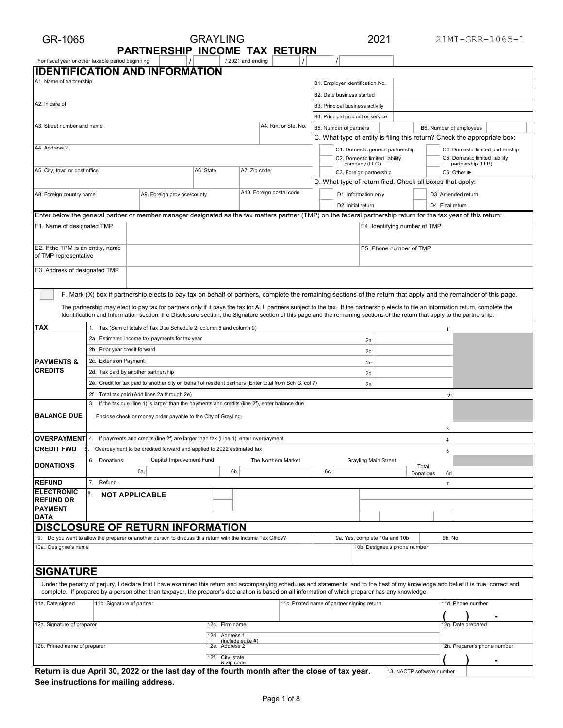## GR-1065 21MI-GRR-1065-1 For fiscal year or other taxable period beginning  $\vert$  /  $\vert$  /  $\vert$  / 2021 and ending  $\vert$  /  $\vert$  /  $\vert$ **IDENTIFICATION AND INFORMATION** GRAYLING 2021 **PARTNERSHIP INCOME TAX RETURN** / 2021 and ending

|                                                                                                                   |                                     | <b>IDENTIFICATION AND INFORMATION</b>                                                                                                                                                                                                                                                                                                        |                                |                          |                     |  |                                  |                                                           |                               |                    |                         |                                                                          |  |
|-------------------------------------------------------------------------------------------------------------------|-------------------------------------|----------------------------------------------------------------------------------------------------------------------------------------------------------------------------------------------------------------------------------------------------------------------------------------------------------------------------------------------|--------------------------------|--------------------------|---------------------|--|----------------------------------|-----------------------------------------------------------|-------------------------------|--------------------|-------------------------|--------------------------------------------------------------------------|--|
| A1. Name of partnership                                                                                           |                                     |                                                                                                                                                                                                                                                                                                                                              |                                |                          |                     |  | B1. Employer identification No.  |                                                           |                               |                    |                         |                                                                          |  |
|                                                                                                                   |                                     |                                                                                                                                                                                                                                                                                                                                              |                                |                          |                     |  | B2. Date business started        |                                                           |                               |                    |                         |                                                                          |  |
| A2. In care of                                                                                                    |                                     |                                                                                                                                                                                                                                                                                                                                              |                                |                          |                     |  | B3. Principal business activity  |                                                           |                               |                    |                         |                                                                          |  |
|                                                                                                                   |                                     |                                                                                                                                                                                                                                                                                                                                              |                                |                          |                     |  | B4. Principal product or service |                                                           |                               |                    |                         |                                                                          |  |
| A3. Street number and name                                                                                        |                                     |                                                                                                                                                                                                                                                                                                                                              |                                |                          | A4. Rm. or Ste. No. |  | B5. Number of partners           |                                                           |                               |                    | B6. Number of employees |                                                                          |  |
|                                                                                                                   |                                     |                                                                                                                                                                                                                                                                                                                                              |                                |                          |                     |  |                                  |                                                           |                               |                    |                         | C. What type of entity is filing this return? Check the appropriate box: |  |
| A4. Address 2                                                                                                     |                                     |                                                                                                                                                                                                                                                                                                                                              |                                |                          |                     |  |                                  | C1. Domestic general partnership                          |                               |                    |                         | C4. Domestic limited partnership                                         |  |
|                                                                                                                   |                                     |                                                                                                                                                                                                                                                                                                                                              |                                |                          |                     |  |                                  | C2. Domestic limited liability<br>company (LLC)           |                               |                    |                         | C5. Domestic limited liability<br>partnership (LLP)                      |  |
| A5. City, town or post office                                                                                     |                                     |                                                                                                                                                                                                                                                                                                                                              | A6. State                      | A7. Zip code             |                     |  |                                  | C3. Foreign partnership                                   |                               |                    | C6. Other ▶             |                                                                          |  |
|                                                                                                                   |                                     |                                                                                                                                                                                                                                                                                                                                              |                                |                          |                     |  |                                  | D. What type of return filed. Check all boxes that apply: |                               |                    |                         |                                                                          |  |
| A8. Foreign country name                                                                                          |                                     | A9. Foreign province/county                                                                                                                                                                                                                                                                                                                  |                                | A10. Foreign postal code |                     |  |                                  | D1. Information only                                      |                               |                    | D3. Amended return      |                                                                          |  |
|                                                                                                                   |                                     |                                                                                                                                                                                                                                                                                                                                              |                                |                          |                     |  | D2. Initial return               |                                                           |                               |                    | D4. Final return        |                                                                          |  |
|                                                                                                                   |                                     | Enter below the general partner or member manager designated as the tax matters partner (TMP) on the federal partnership return for the tax year of this return:                                                                                                                                                                             |                                |                          |                     |  |                                  |                                                           |                               |                    |                         |                                                                          |  |
| E1. Name of designated TMP                                                                                        |                                     |                                                                                                                                                                                                                                                                                                                                              |                                |                          |                     |  |                                  |                                                           | E4. Identifying number of TMP |                    |                         |                                                                          |  |
|                                                                                                                   |                                     |                                                                                                                                                                                                                                                                                                                                              |                                |                          |                     |  |                                  |                                                           |                               |                    |                         |                                                                          |  |
| E2. If the TPM is an entity, name                                                                                 |                                     |                                                                                                                                                                                                                                                                                                                                              |                                |                          |                     |  |                                  |                                                           | E5. Phone number of TMP       |                    |                         |                                                                          |  |
| of TMP representative                                                                                             |                                     |                                                                                                                                                                                                                                                                                                                                              |                                |                          |                     |  |                                  |                                                           |                               |                    |                         |                                                                          |  |
| E3. Address of designated TMP                                                                                     |                                     |                                                                                                                                                                                                                                                                                                                                              |                                |                          |                     |  |                                  |                                                           |                               |                    |                         |                                                                          |  |
|                                                                                                                   |                                     |                                                                                                                                                                                                                                                                                                                                              |                                |                          |                     |  |                                  |                                                           |                               |                    |                         |                                                                          |  |
|                                                                                                                   |                                     |                                                                                                                                                                                                                                                                                                                                              |                                |                          |                     |  |                                  |                                                           |                               |                    |                         |                                                                          |  |
|                                                                                                                   |                                     | F. Mark (X) box if partnership elects to pay tax on behalf of partners, complete the remaining sections of the return that apply and the remainder of this page.                                                                                                                                                                             |                                |                          |                     |  |                                  |                                                           |                               |                    |                         |                                                                          |  |
|                                                                                                                   |                                     | The partnership may elect to pay tax for partners only if it pays the tax for ALL partners subject to the tax. If the partnership elects to file an information return, complete the                                                                                                                                                         |                                |                          |                     |  |                                  |                                                           |                               |                    |                         |                                                                          |  |
|                                                                                                                   |                                     | Identification and Information section, the Disclosure section, the Signature section of this page and the remaining sections of the return that apply to the partnership.                                                                                                                                                                   |                                |                          |                     |  |                                  |                                                           |                               |                    |                         |                                                                          |  |
| TAX                                                                                                               |                                     | 1. Tax (Sum of totals of Tax Due Schedule 2, column 8 and column 9)                                                                                                                                                                                                                                                                          |                                |                          |                     |  |                                  |                                                           |                               |                    | 1                       |                                                                          |  |
|                                                                                                                   |                                     | 2a. Estimated income tax payments for tax year                                                                                                                                                                                                                                                                                               |                                |                          |                     |  |                                  | 2a                                                        |                               |                    |                         |                                                                          |  |
|                                                                                                                   | 2b. Prior year credit forward       |                                                                                                                                                                                                                                                                                                                                              |                                |                          |                     |  |                                  | 2b                                                        |                               |                    |                         |                                                                          |  |
| <b>PAYMENTS &amp;</b>                                                                                             | 2c. Extension Payment               |                                                                                                                                                                                                                                                                                                                                              |                                |                          |                     |  |                                  | 2c                                                        |                               |                    |                         |                                                                          |  |
| <b>CREDITS</b>                                                                                                    | 2d. Tax paid by another partnership |                                                                                                                                                                                                                                                                                                                                              |                                |                          |                     |  |                                  | 2d                                                        |                               |                    |                         |                                                                          |  |
|                                                                                                                   |                                     | 2e. Credit for tax paid to another city on behalf of resident partners (Enter total from Sch G, col 7)                                                                                                                                                                                                                                       |                                |                          |                     |  |                                  | 2e                                                        |                               |                    |                         |                                                                          |  |
|                                                                                                                   |                                     | 2f. Total tax paid (Add lines 2a through 2e)                                                                                                                                                                                                                                                                                                 |                                |                          |                     |  |                                  |                                                           |                               |                    | 2f                      |                                                                          |  |
|                                                                                                                   |                                     | 3. If the tax due (line 1) is larger than the payments and credits (line 2f), enter balance due                                                                                                                                                                                                                                              |                                |                          |                     |  |                                  |                                                           |                               |                    |                         |                                                                          |  |
| <b>BALANCE DUE</b>                                                                                                |                                     | Enclose check or money order payable to the City of Grayling.                                                                                                                                                                                                                                                                                |                                |                          |                     |  |                                  |                                                           |                               |                    |                         |                                                                          |  |
|                                                                                                                   |                                     |                                                                                                                                                                                                                                                                                                                                              |                                |                          |                     |  |                                  |                                                           |                               |                    | 3                       |                                                                          |  |
| <b>OVERPAYMENT</b> 4.                                                                                             |                                     | If payments and credits (line 2f) are larger than tax (Line 1), enter overpayment                                                                                                                                                                                                                                                            |                                |                          |                     |  |                                  |                                                           |                               |                    | 4                       |                                                                          |  |
| <b>CREDIT FWD</b>                                                                                                 |                                     | Overpayment to be credited forward and applied to 2022 estimated tax                                                                                                                                                                                                                                                                         |                                |                          |                     |  |                                  |                                                           |                               |                    | 5                       |                                                                          |  |
| <b>DONATIONS</b>                                                                                                  | 6. Donations:                       | Capital Improvement Fund                                                                                                                                                                                                                                                                                                                     |                                | The Northern Market      |                     |  |                                  | <b>Grayling Main Street</b>                               |                               |                    |                         |                                                                          |  |
|                                                                                                                   |                                     | 6а.                                                                                                                                                                                                                                                                                                                                          | 6b.                            |                          |                     |  | 6c.                              |                                                           |                               | Total<br>Donations | 6d                      |                                                                          |  |
| <b>REFUND</b>                                                                                                     | 7. Refund.                          |                                                                                                                                                                                                                                                                                                                                              |                                |                          |                     |  |                                  |                                                           |                               |                    | $\overline{7}$          |                                                                          |  |
| <b>ELECTRONIC</b>                                                                                                 | 8.<br><b>NOT APPLICABLE</b>         |                                                                                                                                                                                                                                                                                                                                              |                                |                          |                     |  |                                  |                                                           |                               |                    |                         |                                                                          |  |
| <b>REFUND OR</b><br><b>PAYMENT</b>                                                                                |                                     |                                                                                                                                                                                                                                                                                                                                              |                                |                          |                     |  |                                  |                                                           |                               |                    |                         |                                                                          |  |
| DATA                                                                                                              |                                     |                                                                                                                                                                                                                                                                                                                                              |                                |                          |                     |  |                                  |                                                           |                               |                    |                         |                                                                          |  |
|                                                                                                                   |                                     | DISCLOSURE OF RETURN INFORMATION                                                                                                                                                                                                                                                                                                             |                                |                          |                     |  |                                  |                                                           |                               |                    |                         |                                                                          |  |
|                                                                                                                   |                                     | 9. Do you want to allow the preparer or another person to discuss this return with the Income Tax Office?                                                                                                                                                                                                                                    |                                |                          |                     |  |                                  | 9a. Yes, complete 10a and 10b                             |                               |                    | 9b. No                  |                                                                          |  |
| 10a. Designee's name                                                                                              |                                     |                                                                                                                                                                                                                                                                                                                                              |                                |                          |                     |  |                                  | 10b. Designee's phone number                              |                               |                    |                         |                                                                          |  |
|                                                                                                                   |                                     |                                                                                                                                                                                                                                                                                                                                              |                                |                          |                     |  |                                  |                                                           |                               |                    |                         |                                                                          |  |
| <b>SIGNATURE</b>                                                                                                  |                                     |                                                                                                                                                                                                                                                                                                                                              |                                |                          |                     |  |                                  |                                                           |                               |                    |                         |                                                                          |  |
|                                                                                                                   |                                     |                                                                                                                                                                                                                                                                                                                                              |                                |                          |                     |  |                                  |                                                           |                               |                    |                         |                                                                          |  |
|                                                                                                                   |                                     | Under the penalty of perjury, I declare that I have examined this return and accompanying schedules and statements, and to the best of my knowledge and belief it is true, correct and<br>complete. If prepared by a person other than taxpayer, the preparer's declaration is based on all information of which preparer has any knowledge. |                                |                          |                     |  |                                  |                                                           |                               |                    |                         |                                                                          |  |
| 11a. Date signed<br>11d. Phone number<br>11b. Signature of partner<br>11c. Printed name of partner signing return |                                     |                                                                                                                                                                                                                                                                                                                                              |                                |                          |                     |  |                                  |                                                           |                               |                    |                         |                                                                          |  |
|                                                                                                                   |                                     |                                                                                                                                                                                                                                                                                                                                              |                                |                          |                     |  |                                  |                                                           |                               |                    |                         |                                                                          |  |
| 12a. Signature of preparer<br>12c. Firm name<br>12g. Date prepared                                                |                                     |                                                                                                                                                                                                                                                                                                                                              |                                |                          |                     |  |                                  |                                                           |                               |                    |                         |                                                                          |  |
|                                                                                                                   |                                     |                                                                                                                                                                                                                                                                                                                                              | 12d. Address 1                 | (include suite #)        |                     |  |                                  |                                                           |                               |                    |                         |                                                                          |  |
| 12b. Printed name of preparer                                                                                     |                                     |                                                                                                                                                                                                                                                                                                                                              | 12e. Address 2                 |                          |                     |  |                                  |                                                           |                               |                    |                         | 12h. Preparer's phone number                                             |  |
|                                                                                                                   |                                     |                                                                                                                                                                                                                                                                                                                                              | 12f. City, state<br>& zip code |                          |                     |  |                                  |                                                           |                               |                    |                         |                                                                          |  |
|                                                                                                                   |                                     | Return is due April 30, 2022 or the last day of the fourth month after the close of tax year.                                                                                                                                                                                                                                                |                                |                          |                     |  |                                  |                                                           | 13. NACTP software number     |                    |                         |                                                                          |  |

**See instructions for mailing address.**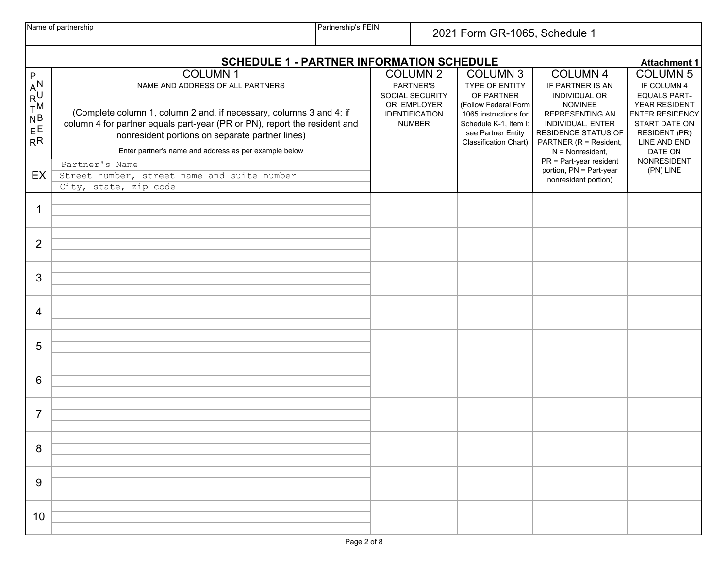|                                                                         | Name of partnership                                                                                                                                                                                                                                                                                                | Partnership's FEIN<br>2021 Form GR-1065, Schedule 1 |  |                                                                                                          |                                                                                                                                                                                 |                                                                                                                                                                                                                         |                                                                                                                                                                                     |  |
|-------------------------------------------------------------------------|--------------------------------------------------------------------------------------------------------------------------------------------------------------------------------------------------------------------------------------------------------------------------------------------------------------------|-----------------------------------------------------|--|----------------------------------------------------------------------------------------------------------|---------------------------------------------------------------------------------------------------------------------------------------------------------------------------------|-------------------------------------------------------------------------------------------------------------------------------------------------------------------------------------------------------------------------|-------------------------------------------------------------------------------------------------------------------------------------------------------------------------------------|--|
| <b>SCHEDULE 1 - PARTNER INFORMATION SCHEDULE</b><br><b>Attachment 1</b> |                                                                                                                                                                                                                                                                                                                    |                                                     |  |                                                                                                          |                                                                                                                                                                                 |                                                                                                                                                                                                                         |                                                                                                                                                                                     |  |
| P<br>- AN<br>RU<br>T <sup>M</sup><br>$N_B$<br>$E^E$<br>R <sup>R</sup>   | <b>COLUMN1</b><br>NAME AND ADDRESS OF ALL PARTNERS<br>(Complete column 1, column 2 and, if necessary, columns 3 and 4; if<br>column 4 for partner equals part-year (PR or PN), report the resident and<br>nonresident portions on separate partner lines)<br>Enter partner's name and address as per example below |                                                     |  | <b>COLUMN 2</b><br>PARTNER'S<br>SOCIAL SECURITY<br>OR EMPLOYER<br><b>IDENTIFICATION</b><br><b>NUMBER</b> | <b>COLUMN 3</b><br>TYPE OF ENTITY<br>OF PARTNER<br>(Follow Federal Form<br>1065 instructions for<br>Schedule K-1, Item I;<br>see Partner Entity<br><b>Classification Chart)</b> | <b>COLUMN 4</b><br>IF PARTNER IS AN<br>INDIVIDUAL OR<br><b>NOMINEE</b><br><b>REPRESENTING AN</b><br>INDIVIDUAL, ENTER<br>RESIDENCE STATUS OF<br>PARTNER (R = Resident,<br>$N =$ Nonresident,<br>PR = Part-year resident | <b>COLUMN 5</b><br>IF COLUMN 4<br><b>EQUALS PART-</b><br>YEAR RESIDENT<br><b>ENTER RESIDENCY</b><br>START DATE ON<br><b>RESIDENT (PR)</b><br>LINE AND END<br>DATE ON<br>NONRESIDENT |  |
| EX                                                                      | Partner's Name<br>Street number, street name and suite number<br>City, state, zip code                                                                                                                                                                                                                             |                                                     |  |                                                                                                          |                                                                                                                                                                                 | portion, PN = Part-year<br>nonresident portion)                                                                                                                                                                         | (PN) LINE                                                                                                                                                                           |  |
| 1                                                                       |                                                                                                                                                                                                                                                                                                                    |                                                     |  |                                                                                                          |                                                                                                                                                                                 |                                                                                                                                                                                                                         |                                                                                                                                                                                     |  |
| $\overline{2}$                                                          |                                                                                                                                                                                                                                                                                                                    |                                                     |  |                                                                                                          |                                                                                                                                                                                 |                                                                                                                                                                                                                         |                                                                                                                                                                                     |  |
| 3                                                                       |                                                                                                                                                                                                                                                                                                                    |                                                     |  |                                                                                                          |                                                                                                                                                                                 |                                                                                                                                                                                                                         |                                                                                                                                                                                     |  |
| $\overline{4}$                                                          |                                                                                                                                                                                                                                                                                                                    |                                                     |  |                                                                                                          |                                                                                                                                                                                 |                                                                                                                                                                                                                         |                                                                                                                                                                                     |  |
| 5                                                                       |                                                                                                                                                                                                                                                                                                                    |                                                     |  |                                                                                                          |                                                                                                                                                                                 |                                                                                                                                                                                                                         |                                                                                                                                                                                     |  |
| 6                                                                       |                                                                                                                                                                                                                                                                                                                    |                                                     |  |                                                                                                          |                                                                                                                                                                                 |                                                                                                                                                                                                                         |                                                                                                                                                                                     |  |
| $\overline{7}$                                                          |                                                                                                                                                                                                                                                                                                                    |                                                     |  |                                                                                                          |                                                                                                                                                                                 |                                                                                                                                                                                                                         |                                                                                                                                                                                     |  |
| 8                                                                       |                                                                                                                                                                                                                                                                                                                    |                                                     |  |                                                                                                          |                                                                                                                                                                                 |                                                                                                                                                                                                                         |                                                                                                                                                                                     |  |
| 9                                                                       |                                                                                                                                                                                                                                                                                                                    |                                                     |  |                                                                                                          |                                                                                                                                                                                 |                                                                                                                                                                                                                         |                                                                                                                                                                                     |  |
| 10                                                                      |                                                                                                                                                                                                                                                                                                                    |                                                     |  |                                                                                                          |                                                                                                                                                                                 |                                                                                                                                                                                                                         |                                                                                                                                                                                     |  |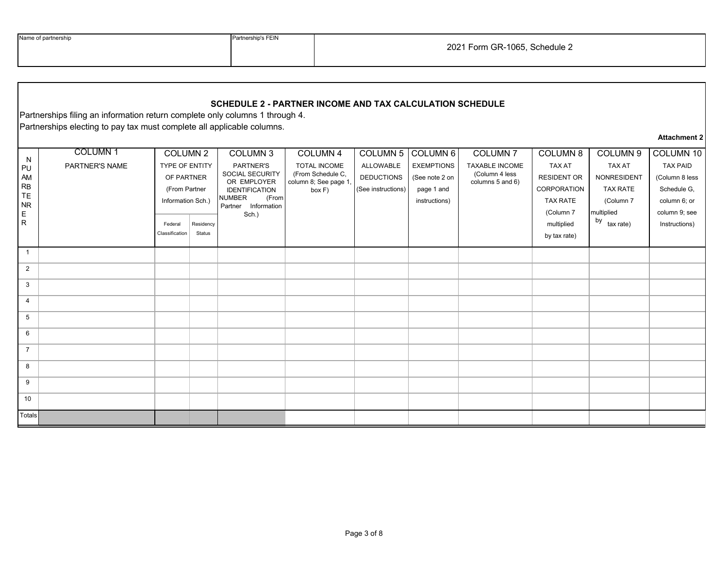| Name of partnership |
|---------------------|
|                     |

Partnership's FEIN

## **SCHEDULE 2 - PARTNER INCOME AND TAX CALCULATION SCHEDULE**

Partnerships filing an information return complete only columns 1 through 4. Partnerships electing to pay tax must complete all applicable columns.

## **Attachment 2**

| N<br>PU<br>AM<br>RB<br>TE<br><b>NR</b><br>$\mathsf E$<br>$\mathsf{R}$ | COLUMN <sub>1</sub><br>PARTNER'S NAME | COLUMN 2<br>TYPE OF ENTITY<br>OF PARTNER<br>(From Partner<br>Information Sch.)<br>Federal<br>Classification | Residency<br>Status | COLUMN 3<br>PARTNER'S<br>SOCIAL SECURITY<br>OR EMPLOYER<br><b>IDENTIFICATION</b><br><b>NUMBER</b><br>(From<br>Partner Information<br>Sch.) | COLUMN 4<br>TOTAL INCOME<br>(From Schedule C,<br>column 8; See page 1<br>box F) | <b>COLUMN 5</b><br>ALLOWABLE<br><b>DEDUCTIONS</b><br>(See instructions) | COLUMN 6<br><b>EXEMPTIONS</b><br>(See note 2 on<br>page 1 and<br>instructions) | COLUMN <sub>7</sub><br><b>TAXABLE INCOME</b><br>(Column 4 less<br>columns 5 and 6) | <b>COLUMN 8</b><br><b>TAX AT</b><br>RESIDENT OR<br>CORPORATION<br><b>TAX RATE</b><br>(Column 7<br>multiplied<br>by tax rate) | COLUMN 9<br><b>TAX AT</b><br>NONRESIDENT<br><b>TAX RATE</b><br>(Column 7<br>multiplied<br>by tax rate) | COLUMN 10<br><b>TAX PAID</b><br>(Column 8 less<br>Schedule G,<br>column 6; or<br>column 9; see<br>Instructions) |
|-----------------------------------------------------------------------|---------------------------------------|-------------------------------------------------------------------------------------------------------------|---------------------|--------------------------------------------------------------------------------------------------------------------------------------------|---------------------------------------------------------------------------------|-------------------------------------------------------------------------|--------------------------------------------------------------------------------|------------------------------------------------------------------------------------|------------------------------------------------------------------------------------------------------------------------------|--------------------------------------------------------------------------------------------------------|-----------------------------------------------------------------------------------------------------------------|
| $\mathbf{1}$                                                          |                                       |                                                                                                             |                     |                                                                                                                                            |                                                                                 |                                                                         |                                                                                |                                                                                    |                                                                                                                              |                                                                                                        |                                                                                                                 |
| $\overline{2}$                                                        |                                       |                                                                                                             |                     |                                                                                                                                            |                                                                                 |                                                                         |                                                                                |                                                                                    |                                                                                                                              |                                                                                                        |                                                                                                                 |
| $\mathbf{3}$                                                          |                                       |                                                                                                             |                     |                                                                                                                                            |                                                                                 |                                                                         |                                                                                |                                                                                    |                                                                                                                              |                                                                                                        |                                                                                                                 |
| $\overline{4}$                                                        |                                       |                                                                                                             |                     |                                                                                                                                            |                                                                                 |                                                                         |                                                                                |                                                                                    |                                                                                                                              |                                                                                                        |                                                                                                                 |
| 5                                                                     |                                       |                                                                                                             |                     |                                                                                                                                            |                                                                                 |                                                                         |                                                                                |                                                                                    |                                                                                                                              |                                                                                                        |                                                                                                                 |
| 6                                                                     |                                       |                                                                                                             |                     |                                                                                                                                            |                                                                                 |                                                                         |                                                                                |                                                                                    |                                                                                                                              |                                                                                                        |                                                                                                                 |
| $\overline{7}$                                                        |                                       |                                                                                                             |                     |                                                                                                                                            |                                                                                 |                                                                         |                                                                                |                                                                                    |                                                                                                                              |                                                                                                        |                                                                                                                 |
| 8                                                                     |                                       |                                                                                                             |                     |                                                                                                                                            |                                                                                 |                                                                         |                                                                                |                                                                                    |                                                                                                                              |                                                                                                        |                                                                                                                 |
| 9                                                                     |                                       |                                                                                                             |                     |                                                                                                                                            |                                                                                 |                                                                         |                                                                                |                                                                                    |                                                                                                                              |                                                                                                        |                                                                                                                 |
| 10                                                                    |                                       |                                                                                                             |                     |                                                                                                                                            |                                                                                 |                                                                         |                                                                                |                                                                                    |                                                                                                                              |                                                                                                        |                                                                                                                 |
| Totals                                                                |                                       |                                                                                                             |                     |                                                                                                                                            |                                                                                 |                                                                         |                                                                                |                                                                                    |                                                                                                                              |                                                                                                        |                                                                                                                 |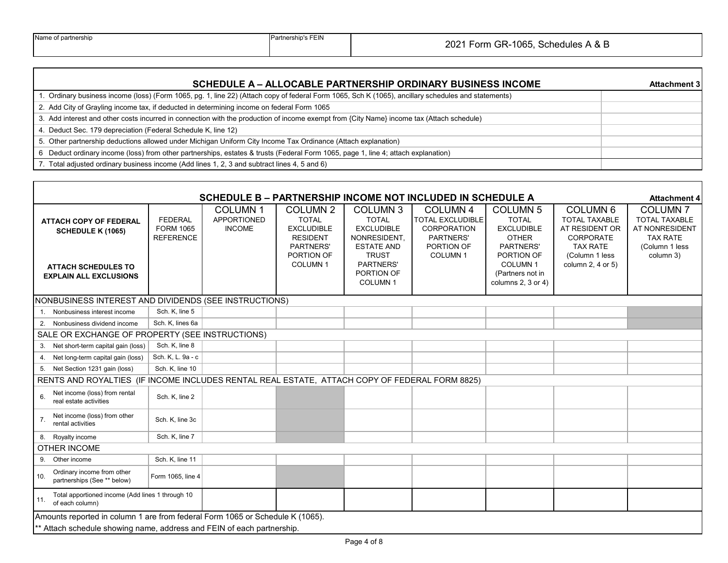$\Gamma$ 

| SCHEDULE A – ALLOCABLE PARTNERSHIP ORDINARY BUSINESS INCOME                                                                                         | <b>Attachment 3</b> |
|-----------------------------------------------------------------------------------------------------------------------------------------------------|---------------------|
| 1. Ordinary business income (loss) (Form 1065, pg. 1, line 22) (Attach copy of federal Form 1065, Sch K (1065), ancillary schedules and statements) |                     |
| 2. Add City of Grayling income tax, if deducted in determining income on federal Form 1065                                                          |                     |
| 3. Add interest and other costs incurred in connection with the production of income exempt from {City Name} income tax (Attach schedule)           |                     |
| 4. Deduct Sec. 179 depreciation (Federal Schedule K, line 12)                                                                                       |                     |
| 5. Other partnership deductions allowed under Michigan Uniform City Income Tax Ordinance (Attach explanation)                                       |                     |
| 6 Deduct ordinary income (loss) from other partnerships, estates & trusts (Federal Form 1065, page 1, line 4; attach explanation)                   |                     |
| 7. Total adjusted ordinary business income (Add lines 1, 2, 3 and subtract lines 4, 5 and 6)                                                        |                     |

|                                                                                                                          | SCHEDULE B - PARTNERSHIP INCOME NOT INCLUDED IN SCHEDULE A<br><b>Attachment 4</b> |                                                       |                                                                                                                      |                                                                                                                                                                 |                                                                                                                           |                                                                                                                                                             |                                                                                                                                      |                                                                                                            |  |
|--------------------------------------------------------------------------------------------------------------------------|-----------------------------------------------------------------------------------|-------------------------------------------------------|----------------------------------------------------------------------------------------------------------------------|-----------------------------------------------------------------------------------------------------------------------------------------------------------------|---------------------------------------------------------------------------------------------------------------------------|-------------------------------------------------------------------------------------------------------------------------------------------------------------|--------------------------------------------------------------------------------------------------------------------------------------|------------------------------------------------------------------------------------------------------------|--|
| <b>ATTACH COPY OF FEDERAL</b><br><b>SCHEDULE K (1065)</b><br><b>ATTACH SCHEDULES TO</b><br><b>EXPLAIN ALL EXCLUSIONS</b> | <b>FEDERAL</b><br><b>FORM 1065</b><br><b>REFERENCE</b>                            | <b>COLUMN1</b><br><b>APPORTIONED</b><br><b>INCOME</b> | <b>COLUMN 2</b><br><b>TOTAL</b><br><b>EXCLUDIBLE</b><br><b>RESIDENT</b><br>PARTNERS'<br>PORTION OF<br><b>COLUMN1</b> | COLUMN <sub>3</sub><br><b>TOTAL</b><br><b>EXCLUDIBLE</b><br>NONRESIDENT,<br><b>ESTATE AND</b><br><b>TRUST</b><br>PARTNERS'<br>PORTION OF<br>COLUMN <sub>1</sub> | <b>COLUMN 4</b><br><b>TOTAL EXCLUDIBLE</b><br><b>CORPORATION</b><br><b>PARTNERS'</b><br>PORTION OF<br>COLUMN <sub>1</sub> | <b>COLUMN 5</b><br><b>TOTAL</b><br><b>EXCLUDIBLE</b><br><b>OTHER</b><br>PARTNERS'<br>PORTION OF<br><b>COLUMN1</b><br>(Partners not in<br>columns 2, 3 or 4) | COLUMN <sub>6</sub><br><b>TOTAL TAXABLE</b><br>AT RESIDENT OR<br>CORPORATE<br><b>TAX RATE</b><br>(Column 1 less<br>column 2, 4 or 5) | <b>COLUMN7</b><br><b>TOTAL TAXABLE</b><br>AT NONRESIDENT<br><b>TAX RATE</b><br>(Column 1 less<br>column 3) |  |
| NONBUSINESS INTEREST AND DIVIDENDS (SEE INSTRUCTIONS)                                                                    |                                                                                   |                                                       |                                                                                                                      |                                                                                                                                                                 |                                                                                                                           |                                                                                                                                                             |                                                                                                                                      |                                                                                                            |  |
| Nonbusiness interest income<br>1.                                                                                        | Sch. K, line 5                                                                    |                                                       |                                                                                                                      |                                                                                                                                                                 |                                                                                                                           |                                                                                                                                                             |                                                                                                                                      |                                                                                                            |  |
| 2. Nonbusiness dividend income                                                                                           | Sch. K, lines 6a                                                                  |                                                       |                                                                                                                      |                                                                                                                                                                 |                                                                                                                           |                                                                                                                                                             |                                                                                                                                      |                                                                                                            |  |
| SALE OR EXCHANGE OF PROPERTY (SEE INSTRUCTIONS)                                                                          |                                                                                   |                                                       |                                                                                                                      |                                                                                                                                                                 |                                                                                                                           |                                                                                                                                                             |                                                                                                                                      |                                                                                                            |  |
| 3. Net short-term capital gain (loss)                                                                                    | Sch. K, line 8                                                                    |                                                       |                                                                                                                      |                                                                                                                                                                 |                                                                                                                           |                                                                                                                                                             |                                                                                                                                      |                                                                                                            |  |
| 4. Net long-term capital gain (loss)                                                                                     | Sch. K, L. 9a - c                                                                 |                                                       |                                                                                                                      |                                                                                                                                                                 |                                                                                                                           |                                                                                                                                                             |                                                                                                                                      |                                                                                                            |  |
| 5. Net Section 1231 gain (loss)                                                                                          | Sch. K, line 10                                                                   |                                                       |                                                                                                                      |                                                                                                                                                                 |                                                                                                                           |                                                                                                                                                             |                                                                                                                                      |                                                                                                            |  |
| RENTS AND ROYALTIES (IF INCOME INCLUDES RENTAL REAL ESTATE, ATTACH COPY OF FEDERAL FORM 8825)                            |                                                                                   |                                                       |                                                                                                                      |                                                                                                                                                                 |                                                                                                                           |                                                                                                                                                             |                                                                                                                                      |                                                                                                            |  |
| Net income (loss) from rental<br>6.<br>real estate activities                                                            | Sch. K, line 2                                                                    |                                                       |                                                                                                                      |                                                                                                                                                                 |                                                                                                                           |                                                                                                                                                             |                                                                                                                                      |                                                                                                            |  |
| Net income (loss) from other<br>7.<br>rental activities                                                                  | Sch. K, line 3c                                                                   |                                                       |                                                                                                                      |                                                                                                                                                                 |                                                                                                                           |                                                                                                                                                             |                                                                                                                                      |                                                                                                            |  |
| 8. Royalty income                                                                                                        | Sch. K, line 7                                                                    |                                                       |                                                                                                                      |                                                                                                                                                                 |                                                                                                                           |                                                                                                                                                             |                                                                                                                                      |                                                                                                            |  |
| <b>OTHER INCOME</b>                                                                                                      |                                                                                   |                                                       |                                                                                                                      |                                                                                                                                                                 |                                                                                                                           |                                                                                                                                                             |                                                                                                                                      |                                                                                                            |  |
| 9. Other income                                                                                                          | Sch. K. line 11                                                                   |                                                       |                                                                                                                      |                                                                                                                                                                 |                                                                                                                           |                                                                                                                                                             |                                                                                                                                      |                                                                                                            |  |
| Ordinary income from other<br>10.<br>partnerships (See ** below)                                                         | Form 1065, line 4                                                                 |                                                       |                                                                                                                      |                                                                                                                                                                 |                                                                                                                           |                                                                                                                                                             |                                                                                                                                      |                                                                                                            |  |
| Total apportioned income (Add lines 1 through 10<br>11.<br>of each column)                                               |                                                                                   |                                                       |                                                                                                                      |                                                                                                                                                                 |                                                                                                                           |                                                                                                                                                             |                                                                                                                                      |                                                                                                            |  |
| Amounts reported in column 1 are from federal Form 1065 or Schedule K (1065).                                            |                                                                                   |                                                       |                                                                                                                      |                                                                                                                                                                 |                                                                                                                           |                                                                                                                                                             |                                                                                                                                      |                                                                                                            |  |
| ** Attach schedule showing name, address and FEIN of each partnership.                                                   |                                                                                   |                                                       |                                                                                                                      |                                                                                                                                                                 |                                                                                                                           |                                                                                                                                                             |                                                                                                                                      |                                                                                                            |  |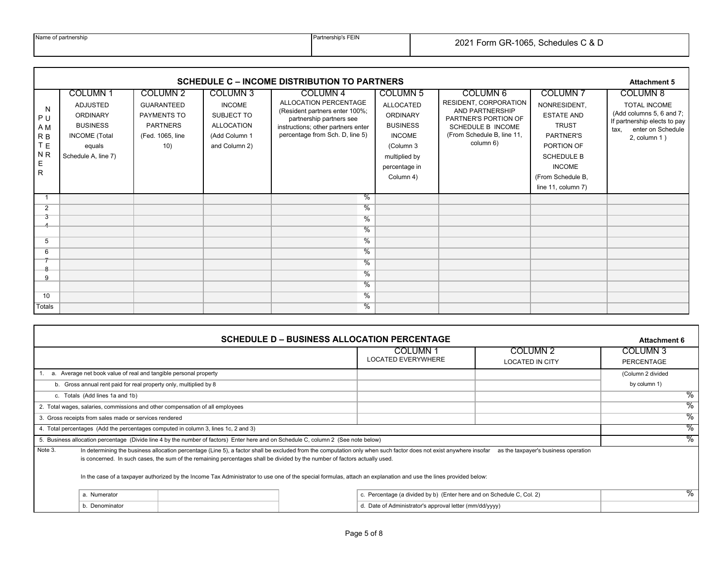|  | Name of partnership |
|--|---------------------|
|--|---------------------|

Partnership's FEIN

|                                                                                 | <b>SCHEDULE C – INCOME DISTRIBUTION TO PARTNERS</b><br><b>Attachment 5</b>                                                       |                                                                                            |                                                                                                       |                                                                                                                                                                                     |                                                                                                                                                        |                                                                                                                                                     |                                                                                                                                                                                 |                                                                                                                                                |  |  |  |
|---------------------------------------------------------------------------------|----------------------------------------------------------------------------------------------------------------------------------|--------------------------------------------------------------------------------------------|-------------------------------------------------------------------------------------------------------|-------------------------------------------------------------------------------------------------------------------------------------------------------------------------------------|--------------------------------------------------------------------------------------------------------------------------------------------------------|-----------------------------------------------------------------------------------------------------------------------------------------------------|---------------------------------------------------------------------------------------------------------------------------------------------------------------------------------|------------------------------------------------------------------------------------------------------------------------------------------------|--|--|--|
| N<br>P U<br>A M<br>R <sub>B</sub><br>T E<br>N <sub>R</sub><br>Е<br>$\mathsf{R}$ | <b>COLUMN1</b><br><b>ADJUSTED</b><br><b>ORDINARY</b><br><b>BUSINESS</b><br><b>INCOME</b> (Total<br>equals<br>Schedule A, line 7) | COLUMN 2<br><b>GUARANTEED</b><br>PAYMENTS TO<br><b>PARTNERS</b><br>(Fed. 1065, line<br>10) | <b>COLUMN 3</b><br><b>INCOME</b><br>SUBJECT TO<br><b>ALLOCATION</b><br>(Add Column 1<br>and Column 2) | COLUMN <sub>4</sub><br>ALLOCATION PERCENTAGE<br>(Resident partners enter 100%;<br>partnership partners see<br>instructions; other partners enter<br>percentage from Sch. D, line 5) | <b>COLUMN 5</b><br><b>ALLOCATED</b><br><b>ORDINARY</b><br><b>BUSINESS</b><br><b>INCOME</b><br>(Column 3<br>multiplied by<br>percentage in<br>Column 4) | COLUMN 6<br><b>RESIDENT, CORPORATION</b><br>AND PARTNERSHIP<br>PARTNER'S PORTION OF<br>SCHEDULE B INCOME<br>(From Schedule B, line 11,<br>column 6) | <b>COLUMN7</b><br>NONRESIDENT,<br><b>ESTATE AND</b><br><b>TRUST</b><br>PARTNER'S<br>PORTION OF<br><b>SCHEDULE B</b><br><b>INCOME</b><br>(From Schedule B,<br>line 11, column 7) | <b>COLUMN 8</b><br>TOTAL INCOME<br>(Add columns 5, 6 and 7;<br>If partnership elects to pay<br>enter on Schedule<br>tax.<br>$2$ , column $1$ ) |  |  |  |
| -1                                                                              |                                                                                                                                  |                                                                                            |                                                                                                       | ℅                                                                                                                                                                                   |                                                                                                                                                        |                                                                                                                                                     |                                                                                                                                                                                 |                                                                                                                                                |  |  |  |
| 2                                                                               |                                                                                                                                  |                                                                                            |                                                                                                       | $\frac{9}{6}$                                                                                                                                                                       |                                                                                                                                                        |                                                                                                                                                     |                                                                                                                                                                                 |                                                                                                                                                |  |  |  |
| 3                                                                               |                                                                                                                                  |                                                                                            |                                                                                                       | $\frac{9}{6}$                                                                                                                                                                       |                                                                                                                                                        |                                                                                                                                                     |                                                                                                                                                                                 |                                                                                                                                                |  |  |  |
|                                                                                 |                                                                                                                                  |                                                                                            |                                                                                                       | $\frac{9}{6}$                                                                                                                                                                       |                                                                                                                                                        |                                                                                                                                                     |                                                                                                                                                                                 |                                                                                                                                                |  |  |  |
| 5                                                                               |                                                                                                                                  |                                                                                            |                                                                                                       | $\frac{0}{6}$                                                                                                                                                                       |                                                                                                                                                        |                                                                                                                                                     |                                                                                                                                                                                 |                                                                                                                                                |  |  |  |
| 6                                                                               |                                                                                                                                  |                                                                                            |                                                                                                       | %                                                                                                                                                                                   |                                                                                                                                                        |                                                                                                                                                     |                                                                                                                                                                                 |                                                                                                                                                |  |  |  |
| $\mathbf{Q}$                                                                    |                                                                                                                                  |                                                                                            |                                                                                                       | $\frac{9}{6}$                                                                                                                                                                       |                                                                                                                                                        |                                                                                                                                                     |                                                                                                                                                                                 |                                                                                                                                                |  |  |  |
| 9                                                                               |                                                                                                                                  |                                                                                            |                                                                                                       | %                                                                                                                                                                                   |                                                                                                                                                        |                                                                                                                                                     |                                                                                                                                                                                 |                                                                                                                                                |  |  |  |
|                                                                                 |                                                                                                                                  |                                                                                            |                                                                                                       | $\frac{9}{6}$                                                                                                                                                                       |                                                                                                                                                        |                                                                                                                                                     |                                                                                                                                                                                 |                                                                                                                                                |  |  |  |
| 10                                                                              |                                                                                                                                  |                                                                                            |                                                                                                       | $\frac{9}{6}$                                                                                                                                                                       |                                                                                                                                                        |                                                                                                                                                     |                                                                                                                                                                                 |                                                                                                                                                |  |  |  |
| <b>Totals</b>                                                                   |                                                                                                                                  |                                                                                            |                                                                                                       | $\frac{9}{6}$                                                                                                                                                                       |                                                                                                                                                        |                                                                                                                                                     |                                                                                                                                                                                 |                                                                                                                                                |  |  |  |

|         |                                                                               |                                                                                                                                                                                                                                                                                                                                                                                                                                                                     |  | <b>SCHEDULE D – BUSINESS ALLOCATION PERCENTAGE</b>                    |                                               | <b>Attachment 6</b>               |  |
|---------|-------------------------------------------------------------------------------|---------------------------------------------------------------------------------------------------------------------------------------------------------------------------------------------------------------------------------------------------------------------------------------------------------------------------------------------------------------------------------------------------------------------------------------------------------------------|--|-----------------------------------------------------------------------|-----------------------------------------------|-----------------------------------|--|
|         |                                                                               |                                                                                                                                                                                                                                                                                                                                                                                                                                                                     |  | COLUMN 1<br><b>LOCATED EVERYWHERE</b>                                 | COLUMN <sub>2</sub><br><b>LOCATED IN CITY</b> | COLUMN <sub>3</sub><br>PERCENTAGE |  |
|         | a. Average net book value of real and tangible personal property              |                                                                                                                                                                                                                                                                                                                                                                                                                                                                     |  |                                                                       |                                               | (Column 2 divided                 |  |
|         | b. Gross annual rent paid for real property only, multiplied by 8             |                                                                                                                                                                                                                                                                                                                                                                                                                                                                     |  |                                                                       |                                               | by column 1)                      |  |
|         | c. Totals (Add lines 1a and 1b)                                               |                                                                                                                                                                                                                                                                                                                                                                                                                                                                     |  |                                                                       |                                               |                                   |  |
|         | 2. Total wages, salaries, commissions and other compensation of all employees |                                                                                                                                                                                                                                                                                                                                                                                                                                                                     |  |                                                                       |                                               |                                   |  |
|         | 3. Gross receipts from sales made or services rendered                        |                                                                                                                                                                                                                                                                                                                                                                                                                                                                     |  |                                                                       |                                               | $\frac{9}{6}$                     |  |
|         |                                                                               | 4. Total percentages (Add the percentages computed in column 3, lines 1c, 2 and 3)                                                                                                                                                                                                                                                                                                                                                                                  |  |                                                                       |                                               | %                                 |  |
|         |                                                                               | 5. Business allocation percentage (Divide line 4 by the number of factors) Enter here and on Schedule C, column 2 (See note below)                                                                                                                                                                                                                                                                                                                                  |  |                                                                       |                                               | %                                 |  |
| Note 3. |                                                                               | In determining the business allocation percentage (Line 5), a factor shall be excluded from the computation only when such factor does not exist anywhere insofar<br>is concerned. In such cases, the sum of the remaining percentages shall be divided by the number of factors actually used.<br>In the case of a taxpayer authorized by the Income Tax Administrator to use one of the special formulas, attach an explanation and use the lines provided below: |  |                                                                       | as the taxpayer's business operation          |                                   |  |
|         | a. Numerator                                                                  |                                                                                                                                                                                                                                                                                                                                                                                                                                                                     |  | c. Percentage (a divided by b) (Enter here and on Schedule C, Col. 2) |                                               | $\%$                              |  |
|         | b. Denominator<br>d. Date of Administrator's approval letter (mm/dd/yyyy)     |                                                                                                                                                                                                                                                                                                                                                                                                                                                                     |  |                                                                       |                                               |                                   |  |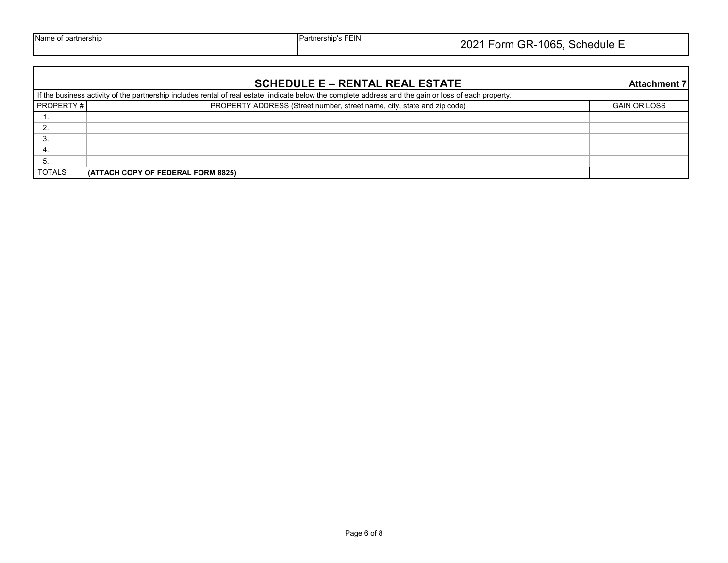|  | Name of partnership |
|--|---------------------|
|--|---------------------|

|                  | <b>SCHEDULE E – RENTAL REAL ESTATE</b>                                                                                                                 | <b>Attachment 7</b> |
|------------------|--------------------------------------------------------------------------------------------------------------------------------------------------------|---------------------|
|                  | If the business activity of the partnership includes rental of real estate, indicate below the complete address and the gain or loss of each property. |                     |
| <b>PROPERTY#</b> | PROPERTY ADDRESS (Street number, street name, city, state and zip code)                                                                                | <b>GAIN OR LOSS</b> |
|                  |                                                                                                                                                        |                     |
|                  |                                                                                                                                                        |                     |
| .ک               |                                                                                                                                                        |                     |
| 4.               |                                                                                                                                                        |                     |
| 5.               |                                                                                                                                                        |                     |
| <b>TOTALS</b>    | (ATTACH COPY OF FEDERAL FORM 8825)                                                                                                                     |                     |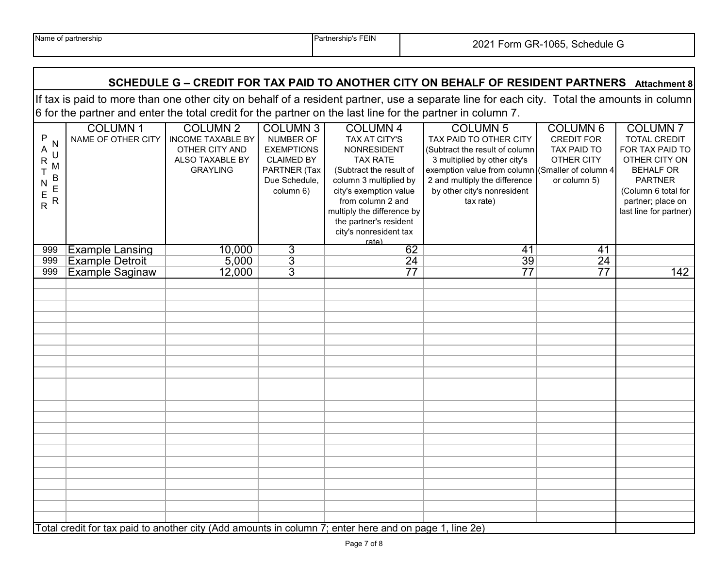## **SCHEDULE G – CREDIT FOR TAX PAID TO ANOTHER CITY ON BEHALF OF RESIDENT PARTNERS** Attachment 8

If tax is paid to more than one other city on behalf of a resident partner, use a separate line for each city. Total the amounts in column 6 for the partner and enter the total credit for the partner on the last line for the partner in column 7.

|                                                                                                        | <b>COLUMN1</b>                            | <b>COLUMN 2</b>          | <b>COLUMN 3</b>   | <b>COLUMN 4</b>            | <b>COLUMN 5</b>                                  | <b>COLUMN 6</b>    | <b>COLUMN7</b>         |
|--------------------------------------------------------------------------------------------------------|-------------------------------------------|--------------------------|-------------------|----------------------------|--------------------------------------------------|--------------------|------------------------|
| P                                                                                                      | NAME OF OTHER CITY                        | <b>INCOME TAXABLE BY</b> | NUMBER OF         | TAX AT CITY'S              | TAX PAID TO OTHER CITY                           | <b>CREDIT FOR</b>  | <b>TOTAL CREDIT</b>    |
| N<br>A                                                                                                 |                                           | OTHER CITY AND           | <b>EXEMPTIONS</b> | <b>NONRESIDENT</b>         | (Subtract the result of column                   | <b>TAX PAID TO</b> | FOR TAX PAID TO        |
| U<br>R                                                                                                 |                                           | ALSO TAXABLE BY          | <b>CLAIMED BY</b> | <b>TAX RATE</b>            | 3 multiplied by other city's                     | OTHER CITY         | OTHER CITY ON          |
| M<br>T                                                                                                 |                                           | <b>GRAYLING</b>          | PARTNER (Tax      | (Subtract the result of    | exemption value from column (Smaller of column 4 |                    | <b>BEHALF OR</b>       |
| B<br>E<br>R<br>N                                                                                       |                                           |                          | Due Schedule,     | column 3 multiplied by     | 2 and multiply the difference                    | or column 5)       | <b>PARTNER</b>         |
|                                                                                                        |                                           |                          | column 6)         | city's exemption value     | by other city's nonresident                      |                    | (Column 6 total for    |
| E<br>R                                                                                                 |                                           |                          |                   | from column 2 and          | tax rate)                                        |                    | partner; place on      |
|                                                                                                        |                                           |                          |                   | multiply the difference by |                                                  |                    | last line for partner) |
|                                                                                                        |                                           |                          |                   | the partner's resident     |                                                  |                    |                        |
|                                                                                                        |                                           |                          |                   | city's nonresident tax     |                                                  |                    |                        |
| 999                                                                                                    |                                           | 10,000                   |                   | rate)<br>62                | 41                                               | 41                 |                        |
| 999                                                                                                    | Example Lansing<br><b>Example Detroit</b> | 5,000                    | $rac{3}{3}$       | $\overline{24}$            | $\overline{39}$                                  | $\overline{24}$    |                        |
| 999                                                                                                    | <b>Example Saginaw</b>                    | 12,000                   | $\overline{3}$    | $\overline{77}$            | $\overline{77}$                                  | $\overline{77}$    | 142                    |
|                                                                                                        |                                           |                          |                   |                            |                                                  |                    |                        |
|                                                                                                        |                                           |                          |                   |                            |                                                  |                    |                        |
|                                                                                                        |                                           |                          |                   |                            |                                                  |                    |                        |
|                                                                                                        |                                           |                          |                   |                            |                                                  |                    |                        |
|                                                                                                        |                                           |                          |                   |                            |                                                  |                    |                        |
|                                                                                                        |                                           |                          |                   |                            |                                                  |                    |                        |
|                                                                                                        |                                           |                          |                   |                            |                                                  |                    |                        |
|                                                                                                        |                                           |                          |                   |                            |                                                  |                    |                        |
|                                                                                                        |                                           |                          |                   |                            |                                                  |                    |                        |
|                                                                                                        |                                           |                          |                   |                            |                                                  |                    |                        |
|                                                                                                        |                                           |                          |                   |                            |                                                  |                    |                        |
|                                                                                                        |                                           |                          |                   |                            |                                                  |                    |                        |
|                                                                                                        |                                           |                          |                   |                            |                                                  |                    |                        |
|                                                                                                        |                                           |                          |                   |                            |                                                  |                    |                        |
|                                                                                                        |                                           |                          |                   |                            |                                                  |                    |                        |
|                                                                                                        |                                           |                          |                   |                            |                                                  |                    |                        |
|                                                                                                        |                                           |                          |                   |                            |                                                  |                    |                        |
|                                                                                                        |                                           |                          |                   |                            |                                                  |                    |                        |
|                                                                                                        |                                           |                          |                   |                            |                                                  |                    |                        |
|                                                                                                        |                                           |                          |                   |                            |                                                  |                    |                        |
|                                                                                                        |                                           |                          |                   |                            |                                                  |                    |                        |
|                                                                                                        |                                           |                          |                   |                            |                                                  |                    |                        |
| Total credit for tax paid to another city (Add amounts in column 7; enter here and on page 1, line 2e) |                                           |                          |                   |                            |                                                  |                    |                        |